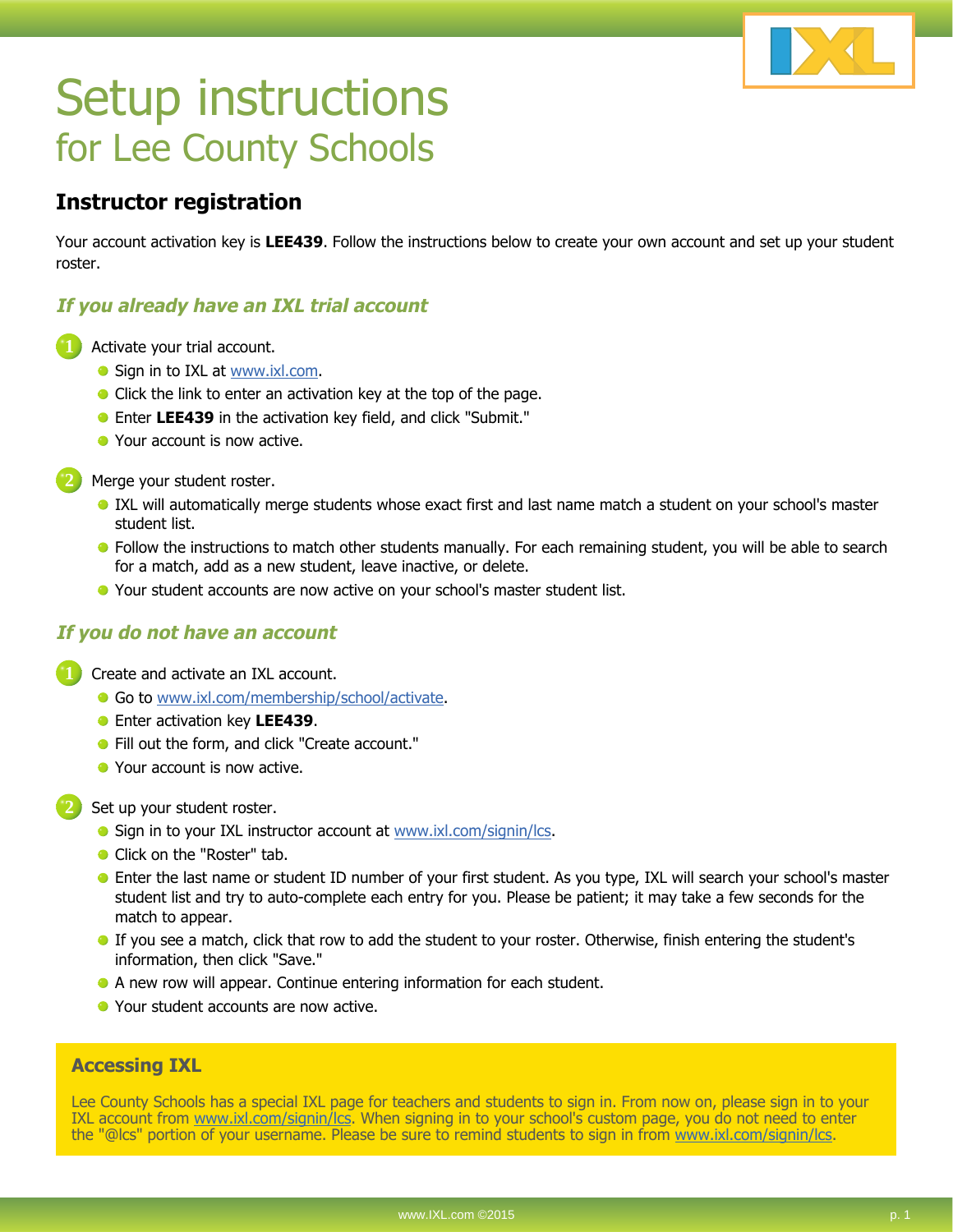

# Setup instructions for Lee County Schools

### **Instructor registration**

Your account activation key is **LEE439**. Follow the instructions below to create your own account and set up your student roster.

### **If you already have an IXL trial account**

- **1** Activate your trial account.
	- Sign in to IXL at www.ixl.com.
	- Click the link to enter an activation key at the top of the page.
	- Enter **LEE439** in the activation key field, and click "Submit."
	- Your account is now active.

**2** Merge your student roster.

- IXL will automatically merge students whose exact first and last name match a student on your school's master student list.
- **•** Follow the instructions to match other students manually. For each remaining student, you will be able to search for a match, add as a new student, leave inactive, or delete.
- Your student accounts are now active on your school's master student list.

#### **If you do not have an account**

**1** Create and activate an IXL account.

- **Go to www.ixl.com/membership/school/activate.**
- Enter activation key **LEE439**.
- Fill out the form, and click "Create account."
- Your account is now active.

**2** Set up your student roster.

- Sign in to your IXL instructor account at www.ixl.com/signin/lcs.
- Click on the "Roster" tab.
- Enter the last name or student ID number of your first student. As you type, IXL will search your school's master student list and try to auto-complete each entry for you. Please be patient; it may take a few seconds for the match to appear.
- If you see a match, click that row to add the student to your roster. Otherwise, finish entering the student's information, then click "Save."
- A new row will appear. Continue entering information for each student.
- Your student accounts are now active.

#### **Accessing IXL**

Lee County Schools has a special IXL page for teachers and students to sign in. From now on, please sign in to your IXL account from www.ixl.com/signin/lcs. When signing in to your school's custom page, you do not need to enter the "@lcs" portion of your username. Please be sure to remind students to sign in from www.ixl.com/signin/lcs.